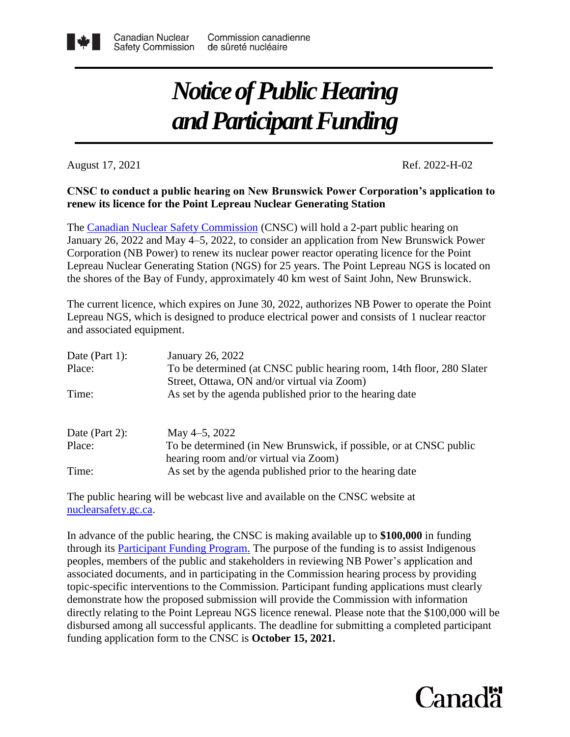## *Notice of Public Hearing and Participant Funding*

August 17, 2021 Ref. 2022-H-02

## **renew its licence for the Point Lepreau Nuclear Generating Station CNSC to conduct a public hearing on New Brunswick Power Corporation's application to**

the shores of the Bay of Fundy, approximately 40 km west of Saint John, New Brunswick. Lepreau Nuclear Generating Station (NGS) for 25 years. The Point Lepreau NGS is located on Corporation (NB Power) to renew its nuclear power reactor operating licence for the Point January 26, 2022 and May 4–5, 2022, to consider an application from New Brunswick Power The [Canadian Nuclear Safety Commission](http://www.nuclearsafety.gc.ca/eng/) (CNSC) will hold a 2-part public hearing on

and associated equipment. Lepreau NGS, which is designed to produce electrical power and consists of 1 nuclear reactor The current licence, which expires on June 30, 2022, authorizes NB Power to operate the Point

| Date (Part 1): | January 26, 2022                                                      |
|----------------|-----------------------------------------------------------------------|
| Place:         | To be determined (at CNSC public hearing room, 14th floor, 280 Slater |
|                | Street, Ottawa, ON and/or virtual via Zoom)                           |
| Time:          | As set by the agenda published prior to the hearing date              |
|                |                                                                       |
| Date (Part 2): | May 4–5, 2022                                                         |
| Place:         | To be determined (in New Brunswick, if possible, or at CNSC public    |
|                | hearing room and/or virtual via Zoom)                                 |
| Time:          | As set by the agenda published prior to the hearing date              |

The public hearing will be webcast live and available on the CNSC website at [nuclearsafety.gc.ca.](http://www.nuclearsafety.gc.ca/eng/)

In advance of the public hearing, the CNSC is making available up to **\$100,000** in funding through its [Participant Funding Program.](http://www.nuclearsafety.gc.ca/eng/the-commission/participant-funding-program/opportunities/index.cfm) The purpose of the funding is to assist Indigenous peoples, members of the public and stakeholders in reviewing NB Power's application and associated documents, and in participating in the Commission hearing process by providing topic-specific interventions to the Commission. Participant funding applications must clearly demonstrate how the proposed submission will provide the Commission with information directly relating to the Point Lepreau NGS licence renewal. Please note that the \$100,000 will be disbursed among all successful applicants. The deadline for submitting a completed participant funding application form to the CNSC is **October 15, 2021.**